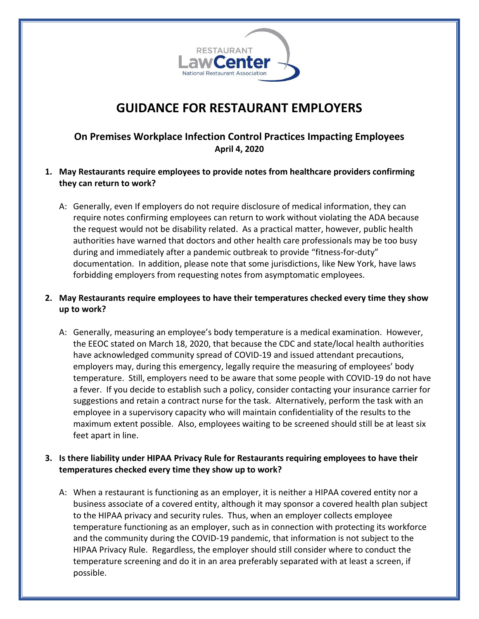

# **GUIDANCE FOR RESTAURANT EMPLOYERS**

# **On Premises Workplace Infection Control Practices Impacting Employees April 4, 2020**

- **1. May Restaurants require employees to provide notes from healthcare providers confirming they can return to work?**
	- A: Generally, even If employers do not require disclosure of medical information, they can require notes confirming employees can return to work without violating the ADA because the request would not be disability related. As a practical matter, however, public health authorities have warned that doctors and other health care professionals may be too busy during and immediately after a pandemic outbreak to provide "fitness-for-duty" documentation. In addition, please note that some jurisdictions, like New York, have laws forbidding employers from requesting notes from asymptomatic employees.

## **2. May Restaurants require employees to have their temperatures checked every time they show up to work?**

A: Generally, measuring an employee's body temperature is a medical examination. However, the EEOC stated on March 18, 2020, that because the CDC and state/local health authorities have acknowledged community spread of COVID-19 and issued attendant precautions, employers may, during this emergency, legally require the measuring of employees' body temperature. Still, employers need to be aware that some people with COVID-19 do not have a fever. If you decide to establish such a policy, consider contacting your insurance carrier for suggestions and retain a contract nurse for the task. Alternatively, perform the task with an employee in a supervisory capacity who will maintain confidentiality of the results to the maximum extent possible. Also, employees waiting to be screened should still be at least six feet apart in line.

#### **3. Is there liability under HIPAA Privacy Rule for Restaurants requiring employees to have their temperatures checked every time they show up to work?**

A: When a restaurant is functioning as an employer, it is neither a HIPAA covered entity nor a business associate of a covered entity, although it may sponsor a covered health plan subject to the HIPAA privacy and security rules. Thus, when an employer collects employee temperature functioning as an employer, such as in connection with protecting its workforce and the community during the COVID-19 pandemic, that information is not subject to the HIPAA Privacy Rule. Regardless, the employer should still consider where to conduct the temperature screening and do it in an area preferably separated with at least a screen, if possible.